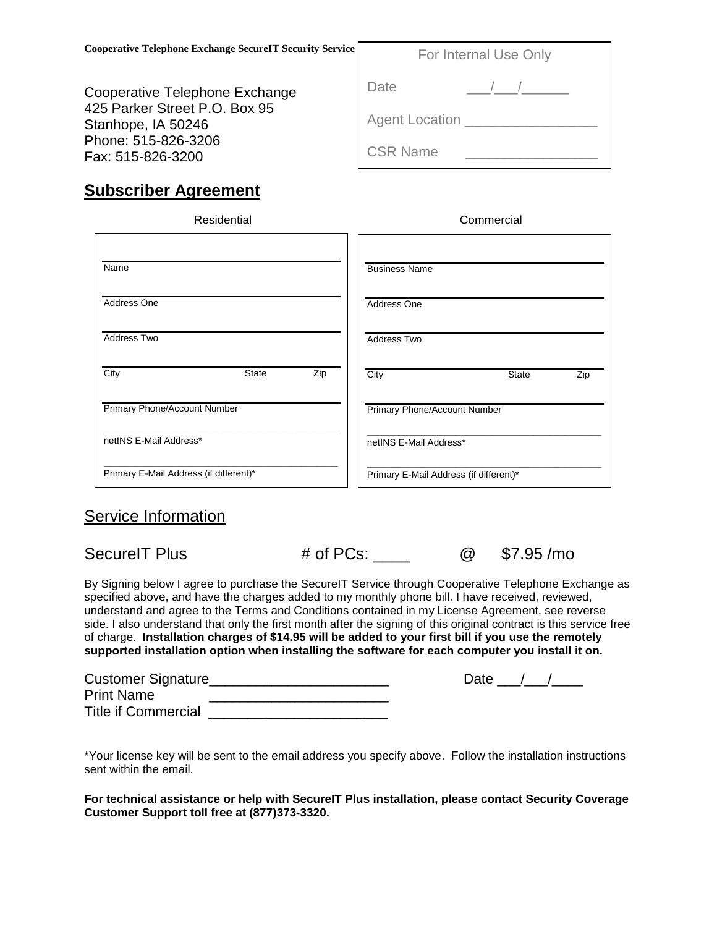Cooperative Telephone Exchange 425 Parker Street P.O. Box 95 Stanhope, IA 50246 Phone: 515-826-3206 Fax: 515-826-3200

| vice | For Internal Use Only |  |  |
|------|-----------------------|--|--|
|      | Date                  |  |  |
|      | <b>Agent Location</b> |  |  |
|      | <b>CSR Name</b>       |  |  |

## **Subscriber Agreement**

| Residential                            | Commercial                             |
|----------------------------------------|----------------------------------------|
| Name                                   | <b>Business Name</b>                   |
| Address One                            | Address One                            |
| <b>Address Two</b>                     | Address Two                            |
| City<br>Zip<br><b>State</b>            | City<br><b>State</b><br>Zip            |
| Primary Phone/Account Number           | Primary Phone/Account Number           |
| netINS E-Mail Address*                 | netINS E-Mail Address*                 |
| Primary E-Mail Address (if different)* | Primary E-Mail Address (if different)* |

## Service Information

SecureIT Plus # of PCs: 2000 \$7.95 /mo

By Signing below I agree to purchase the SecureIT Service through Cooperative Telephone Exchange as specified above, and have the charges added to my monthly phone bill. I have received, reviewed, understand and agree to the Terms and Conditions contained in my License Agreement, see reverse side. I also understand that only the first month after the signing of this original contract is this service free of charge. **Installation charges of \$14.95 will be added to your first bill if you use the remotely supported installation option when installing the software for each computer you install it on.**

| <b>Customer Signature</b>  | Date |
|----------------------------|------|
| <b>Print Name</b>          |      |
| <b>Title if Commercial</b> |      |

\*Your license key will be sent to the email address you specify above. Follow the installation instructions sent within the email.

**For technical assistance or help with SecureIT Plus installation, please contact Security Coverage Customer Support toll free at (877)373-3320.**